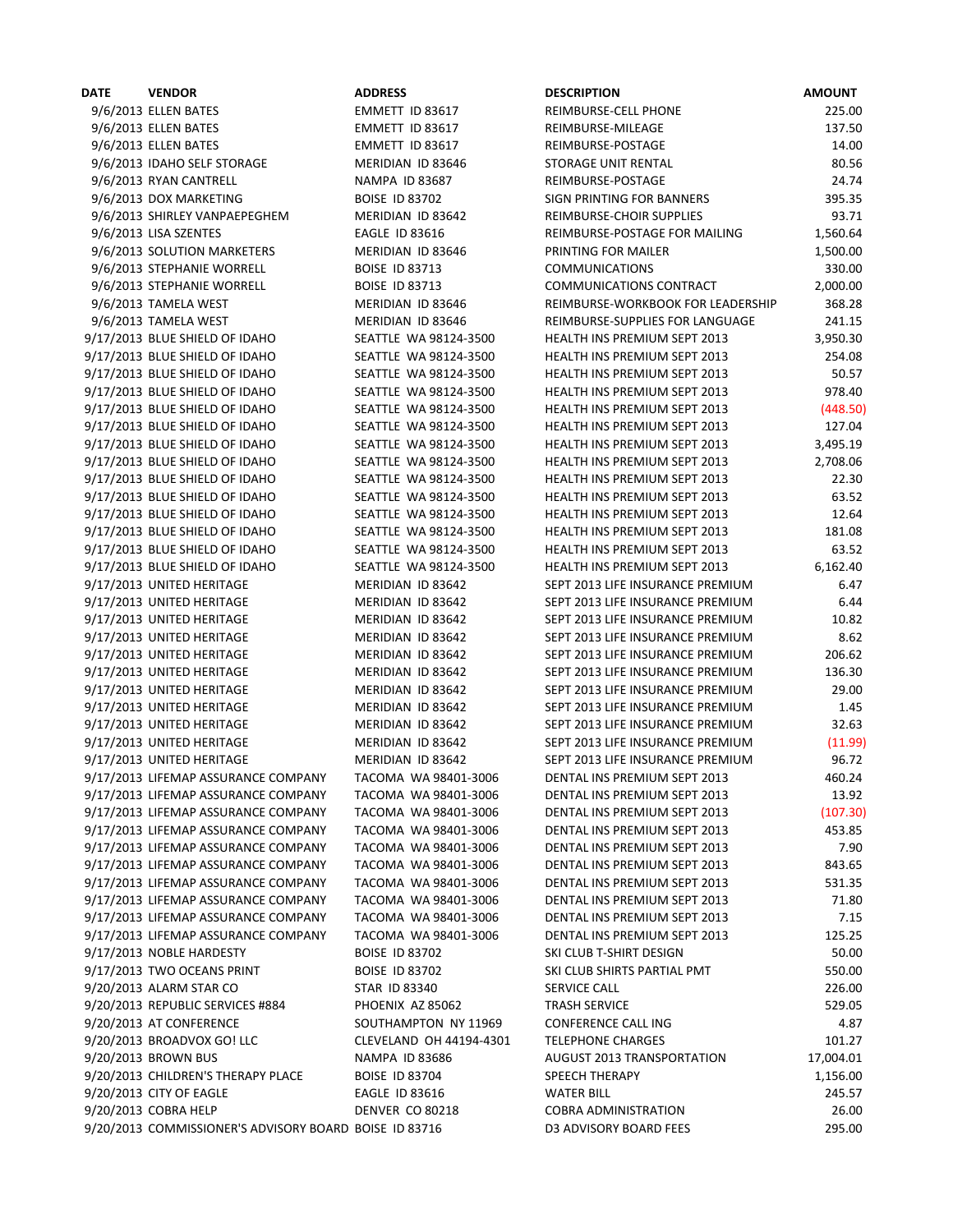| <b>DATE</b> | <b>VENDOR</b>                                          | <b>ADDRESS</b>          | <b>DESCRIPTION</b>                  | <b>AMOUNT</b> |
|-------------|--------------------------------------------------------|-------------------------|-------------------------------------|---------------|
|             | 9/6/2013 ELLEN BATES                                   | EMMETT ID 83617         | REIMBURSE-CELL PHONE                | 225.00        |
|             | 9/6/2013 ELLEN BATES                                   | EMMETT ID 83617         | REIMBURSE-MILEAGE                   | 137.50        |
|             | 9/6/2013 ELLEN BATES                                   | EMMETT ID 83617         | REIMBURSE-POSTAGE                   | 14.00         |
|             | 9/6/2013 IDAHO SELF STORAGE                            | MERIDIAN ID 83646       | <b>STORAGE UNIT RENTAL</b>          | 80.56         |
|             | 9/6/2013 RYAN CANTRELL                                 | <b>NAMPA ID 83687</b>   | REIMBURSE-POSTAGE                   | 24.74         |
|             | 9/6/2013 DOX MARKETING                                 | <b>BOISE ID 83702</b>   | SIGN PRINTING FOR BANNERS           | 395.35        |
|             | 9/6/2013 SHIRLEY VANPAEPEGHEM                          | MERIDIAN ID 83642       | REIMBURSE-CHOIR SUPPLIES            | 93.71         |
|             | 9/6/2013 LISA SZENTES                                  | <b>EAGLE ID 83616</b>   | REIMBURSE-POSTAGE FOR MAILING       | 1,560.64      |
|             |                                                        |                         |                                     | 1,500.00      |
|             | 9/6/2013 SOLUTION MARKETERS                            | MERIDIAN ID 83646       | PRINTING FOR MAILER                 |               |
|             | 9/6/2013 STEPHANIE WORRELL                             | <b>BOISE ID 83713</b>   | <b>COMMUNICATIONS</b>               | 330.00        |
|             | 9/6/2013 STEPHANIE WORRELL                             | <b>BOISE ID 83713</b>   | <b>COMMUNICATIONS CONTRACT</b>      | 2,000.00      |
|             | 9/6/2013 TAMELA WEST                                   | MERIDIAN ID 83646       | REIMBURSE-WORKBOOK FOR LEADERSHIP   | 368.28        |
|             | 9/6/2013 TAMELA WEST                                   | MERIDIAN ID 83646       | REIMBURSE-SUPPLIES FOR LANGUAGE     | 241.15        |
|             | 9/17/2013 BLUE SHIELD OF IDAHO                         | SEATTLE WA 98124-3500   | HEALTH INS PREMIUM SEPT 2013        | 3,950.30      |
|             | 9/17/2013 BLUE SHIELD OF IDAHO                         | SEATTLE WA 98124-3500   | <b>HEALTH INS PREMIUM SEPT 2013</b> | 254.08        |
|             | 9/17/2013 BLUE SHIELD OF IDAHO                         | SEATTLE WA 98124-3500   | HEALTH INS PREMIUM SEPT 2013        | 50.57         |
|             | 9/17/2013 BLUE SHIELD OF IDAHO                         | SEATTLE WA 98124-3500   | HEALTH INS PREMIUM SEPT 2013        | 978.40        |
|             | 9/17/2013 BLUE SHIELD OF IDAHO                         | SEATTLE WA 98124-3500   | <b>HEALTH INS PREMIUM SEPT 2013</b> | (448.50)      |
|             | 9/17/2013 BLUE SHIELD OF IDAHO                         | SEATTLE WA 98124-3500   | HEALTH INS PREMIUM SEPT 2013        | 127.04        |
|             | 9/17/2013 BLUE SHIELD OF IDAHO                         | SEATTLE WA 98124-3500   | <b>HEALTH INS PREMIUM SEPT 2013</b> | 3,495.19      |
|             | 9/17/2013 BLUE SHIELD OF IDAHO                         | SEATTLE WA 98124-3500   | <b>HEALTH INS PREMIUM SEPT 2013</b> | 2,708.06      |
|             | 9/17/2013 BLUE SHIELD OF IDAHO                         | SEATTLE WA 98124-3500   | HEALTH INS PREMIUM SEPT 2013        | 22.30         |
|             | 9/17/2013 BLUE SHIELD OF IDAHO                         | SEATTLE WA 98124-3500   | HEALTH INS PREMIUM SEPT 2013        | 63.52         |
|             | 9/17/2013 BLUE SHIELD OF IDAHO                         | SEATTLE WA 98124-3500   | HEALTH INS PREMIUM SEPT 2013        | 12.64         |
|             | 9/17/2013 BLUE SHIELD OF IDAHO                         | SEATTLE WA 98124-3500   | <b>HEALTH INS PREMIUM SEPT 2013</b> | 181.08        |
|             | 9/17/2013 BLUE SHIELD OF IDAHO                         | SEATTLE WA 98124-3500   | HEALTH INS PREMIUM SEPT 2013        | 63.52         |
|             |                                                        |                         |                                     |               |
|             | 9/17/2013 BLUE SHIELD OF IDAHO                         | SEATTLE WA 98124-3500   | HEALTH INS PREMIUM SEPT 2013        | 6,162.40      |
|             | 9/17/2013 UNITED HERITAGE                              | MERIDIAN ID 83642       | SEPT 2013 LIFE INSURANCE PREMIUM    | 6.47          |
|             | 9/17/2013 UNITED HERITAGE                              | MERIDIAN ID 83642       | SEPT 2013 LIFE INSURANCE PREMIUM    | 6.44          |
|             | 9/17/2013 UNITED HERITAGE                              | MERIDIAN ID 83642       | SEPT 2013 LIFE INSURANCE PREMIUM    | 10.82         |
|             | 9/17/2013 UNITED HERITAGE                              | MERIDIAN ID 83642       | SEPT 2013 LIFE INSURANCE PREMIUM    | 8.62          |
|             | 9/17/2013 UNITED HERITAGE                              | MERIDIAN ID 83642       | SEPT 2013 LIFE INSURANCE PREMIUM    | 206.62        |
|             | 9/17/2013 UNITED HERITAGE                              | MERIDIAN ID 83642       | SEPT 2013 LIFE INSURANCE PREMIUM    | 136.30        |
|             | 9/17/2013 UNITED HERITAGE                              | MERIDIAN ID 83642       | SEPT 2013 LIFE INSURANCE PREMIUM    | 29.00         |
|             | 9/17/2013 UNITED HERITAGE                              | MERIDIAN ID 83642       | SEPT 2013 LIFE INSURANCE PREMIUM    | 1.45          |
|             | 9/17/2013 UNITED HERITAGE                              | MERIDIAN ID 83642       | SEPT 2013 LIFE INSURANCE PREMIUM    | 32.63         |
|             | 9/17/2013 UNITED HERITAGE                              | MERIDIAN ID 83642       | SEPT 2013 LIFE INSURANCE PREMIUM    | (11.99)       |
|             | 9/17/2013 UNITED HERITAGE                              | MERIDIAN ID 83642       | SEPT 2013 LIFE INSURANCE PREMIUM    | 96.72         |
|             | 9/17/2013 LIFEMAP ASSURANCE COMPANY                    | TACOMA WA 98401-3006    | DENTAL INS PREMIUM SEPT 2013        | 460.24        |
|             | 9/17/2013 LIFEMAP ASSURANCE COMPANY                    | TACOMA WA 98401-3006    | DENTAL INS PREMIUM SEPT 2013        | 13.92         |
|             | 9/17/2013 LIFEMAP ASSURANCE COMPANY                    | TACOMA WA 98401-3006    | DENTAL INS PREMIUM SEPT 2013        | (107.30)      |
|             | 9/17/2013 LIFEMAP ASSURANCE COMPANY                    | TACOMA WA 98401-3006    | DENTAL INS PREMIUM SEPT 2013        | 453.85        |
|             | 9/17/2013 LIFEMAP ASSURANCE COMPANY                    | TACOMA WA 98401-3006    | DENTAL INS PREMIUM SEPT 2013        | 7.90          |
|             | 9/17/2013 LIFEMAP ASSURANCE COMPANY                    | TACOMA WA 98401-3006    | DENTAL INS PREMIUM SEPT 2013        | 843.65        |
|             | 9/17/2013 LIFEMAP ASSURANCE COMPANY                    | TACOMA WA 98401-3006    | DENTAL INS PREMIUM SEPT 2013        | 531.35        |
|             |                                                        | TACOMA WA 98401-3006    | DENTAL INS PREMIUM SEPT 2013        |               |
|             | 9/17/2013 LIFEMAP ASSURANCE COMPANY                    |                         |                                     | 71.80         |
|             | 9/17/2013 LIFEMAP ASSURANCE COMPANY                    | TACOMA WA 98401-3006    | DENTAL INS PREMIUM SEPT 2013        | 7.15          |
|             | 9/17/2013 LIFEMAP ASSURANCE COMPANY                    | TACOMA WA 98401-3006    | DENTAL INS PREMIUM SEPT 2013        | 125.25        |
|             | 9/17/2013 NOBLE HARDESTY                               | <b>BOISE ID 83702</b>   | SKI CLUB T-SHIRT DESIGN             | 50.00         |
|             | 9/17/2013 TWO OCEANS PRINT                             | <b>BOISE ID 83702</b>   | SKI CLUB SHIRTS PARTIAL PMT         | 550.00        |
|             | 9/20/2013 ALARM STAR CO                                | STAR ID 83340           | SERVICE CALL                        | 226.00        |
|             | 9/20/2013 REPUBLIC SERVICES #884                       | PHOENIX AZ 85062        | <b>TRASH SERVICE</b>                | 529.05        |
|             | 9/20/2013 AT CONFERENCE                                | SOUTHAMPTON NY 11969    | <b>CONFERENCE CALL ING</b>          | 4.87          |
|             | 9/20/2013 BROADVOX GO! LLC                             | CLEVELAND OH 44194-4301 | <b>TELEPHONE CHARGES</b>            | 101.27        |
|             | 9/20/2013 BROWN BUS                                    | <b>NAMPA ID 83686</b>   | <b>AUGUST 2013 TRANSPORTATION</b>   | 17,004.01     |
|             | 9/20/2013 CHILDREN'S THERAPY PLACE                     | <b>BOISE ID 83704</b>   | <b>SPEECH THERAPY</b>               | 1,156.00      |
|             | 9/20/2013 CITY OF EAGLE                                | <b>EAGLE ID 83616</b>   | <b>WATER BILL</b>                   | 245.57        |
|             | 9/20/2013 COBRA HELP                                   | DENVER CO 80218         | <b>COBRA ADMINISTRATION</b>         | 26.00         |
|             | 9/20/2013 COMMISSIONER'S ADVISORY BOARD BOISE ID 83716 |                         | D3 ADVISORY BOARD FEES              | 295.00        |
|             |                                                        |                         |                                     |               |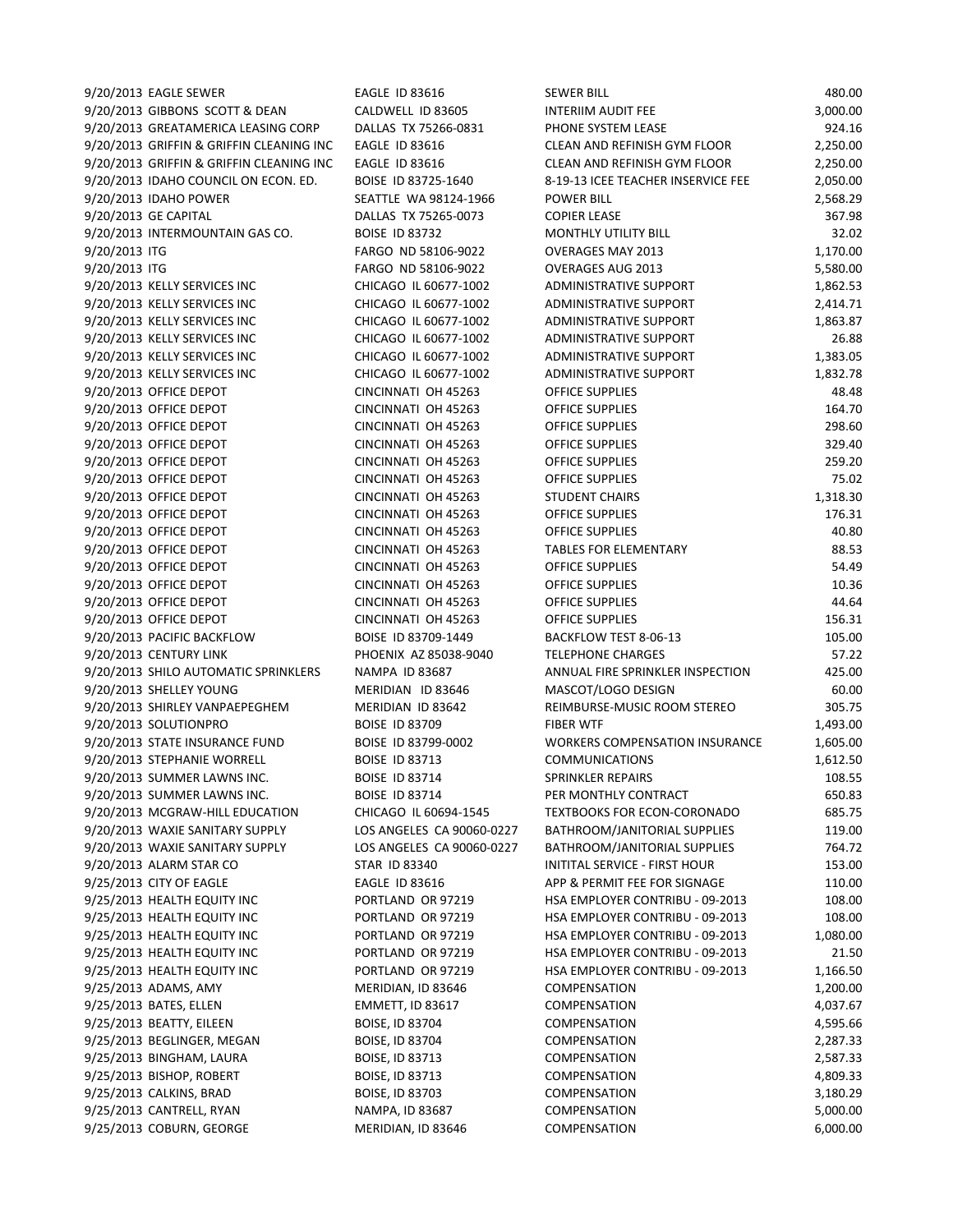| 9/20/2013 EAGLE SEWER                    | <b>EAGLE ID 83616</b>     | <b>SEWER BILL</b>                     | 480.00   |
|------------------------------------------|---------------------------|---------------------------------------|----------|
| 9/20/2013 GIBBONS SCOTT & DEAN           | CALDWELL ID 83605         | INTERIIM AUDIT FEE                    | 3,000.00 |
| 9/20/2013 GREATAMERICA LEASING CORP      | DALLAS TX 75266-0831      | PHONE SYSTEM LEASE                    | 924.16   |
| 9/20/2013 GRIFFIN & GRIFFIN CLEANING INC | <b>EAGLE ID 83616</b>     | CLEAN AND REFINISH GYM FLOOR          | 2,250.00 |
| 9/20/2013 GRIFFIN & GRIFFIN CLEANING INC | <b>EAGLE ID 83616</b>     | CLEAN AND REFINISH GYM FLOOR          | 2,250.00 |
| 9/20/2013 IDAHO COUNCIL ON ECON. ED.     | BOISE ID 83725-1640       | 8-19-13 ICEE TEACHER INSERVICE FEE    | 2,050.00 |
| 9/20/2013 IDAHO POWER                    | SEATTLE WA 98124-1966     | <b>POWER BILL</b>                     | 2,568.29 |
| 9/20/2013 GE CAPITAL                     | DALLAS TX 75265-0073      | <b>COPIER LEASE</b>                   | 367.98   |
| 9/20/2013 INTERMOUNTAIN GAS CO.          | <b>BOISE ID 83732</b>     | <b>MONTHLY UTILITY BILL</b>           | 32.02    |
| 9/20/2013 ITG                            | FARGO ND 58106-9022       | <b>OVERAGES MAY 2013</b>              | 1,170.00 |
|                                          |                           |                                       |          |
| 9/20/2013 ITG                            | FARGO ND 58106-9022       | <b>OVERAGES AUG 2013</b>              | 5,580.00 |
| 9/20/2013 KELLY SERVICES INC             | CHICAGO IL 60677-1002     | ADMINISTRATIVE SUPPORT                | 1,862.53 |
| 9/20/2013 KELLY SERVICES INC             | CHICAGO IL 60677-1002     | <b>ADMINISTRATIVE SUPPORT</b>         | 2,414.71 |
| 9/20/2013 KELLY SERVICES INC             | CHICAGO IL 60677-1002     | <b>ADMINISTRATIVE SUPPORT</b>         | 1,863.87 |
| 9/20/2013 KELLY SERVICES INC             | CHICAGO IL 60677-1002     | <b>ADMINISTRATIVE SUPPORT</b>         | 26.88    |
| 9/20/2013 KELLY SERVICES INC             | CHICAGO IL 60677-1002     | <b>ADMINISTRATIVE SUPPORT</b>         | 1,383.05 |
| 9/20/2013 KELLY SERVICES INC             | CHICAGO IL 60677-1002     | <b>ADMINISTRATIVE SUPPORT</b>         | 1,832.78 |
| 9/20/2013 OFFICE DEPOT                   | CINCINNATI OH 45263       | <b>OFFICE SUPPLIES</b>                | 48.48    |
| 9/20/2013 OFFICE DEPOT                   | CINCINNATI OH 45263       | <b>OFFICE SUPPLIES</b>                | 164.70   |
| 9/20/2013 OFFICE DEPOT                   | CINCINNATI OH 45263       | OFFICE SUPPLIES                       | 298.60   |
| 9/20/2013 OFFICE DEPOT                   | CINCINNATI OH 45263       | OFFICE SUPPLIES                       | 329.40   |
|                                          |                           |                                       |          |
| 9/20/2013 OFFICE DEPOT                   | CINCINNATI OH 45263       | <b>OFFICE SUPPLIES</b>                | 259.20   |
| 9/20/2013 OFFICE DEPOT                   | CINCINNATI OH 45263       | <b>OFFICE SUPPLIES</b>                | 75.02    |
| 9/20/2013 OFFICE DEPOT                   | CINCINNATI OH 45263       | <b>STUDENT CHAIRS</b>                 | 1,318.30 |
| 9/20/2013 OFFICE DEPOT                   | CINCINNATI OH 45263       | OFFICE SUPPLIES                       | 176.31   |
| 9/20/2013 OFFICE DEPOT                   | CINCINNATI OH 45263       | <b>OFFICE SUPPLIES</b>                | 40.80    |
| 9/20/2013 OFFICE DEPOT                   | CINCINNATI OH 45263       | <b>TABLES FOR ELEMENTARY</b>          | 88.53    |
| 9/20/2013 OFFICE DEPOT                   | CINCINNATI OH 45263       | <b>OFFICE SUPPLIES</b>                | 54.49    |
| 9/20/2013 OFFICE DEPOT                   | CINCINNATI OH 45263       | OFFICE SUPPLIES                       | 10.36    |
| 9/20/2013 OFFICE DEPOT                   | CINCINNATI OH 45263       | OFFICE SUPPLIES                       | 44.64    |
| 9/20/2013 OFFICE DEPOT                   | CINCINNATI OH 45263       | <b>OFFICE SUPPLIES</b>                | 156.31   |
| 9/20/2013 PACIFIC BACKFLOW               | BOISE ID 83709-1449       | BACKFLOW TEST 8-06-13                 | 105.00   |
|                                          |                           |                                       |          |
| 9/20/2013 CENTURY LINK                   | PHOENIX AZ 85038-9040     | <b>TELEPHONE CHARGES</b>              | 57.22    |
| 9/20/2013 SHILO AUTOMATIC SPRINKLERS     | <b>NAMPA ID 83687</b>     | ANNUAL FIRE SPRINKLER INSPECTION      | 425.00   |
| 9/20/2013 SHELLEY YOUNG                  | MERIDIAN ID 83646         | MASCOT/LOGO DESIGN                    | 60.00    |
| 9/20/2013 SHIRLEY VANPAEPEGHEM           | MERIDIAN ID 83642         | REIMBURSE-MUSIC ROOM STEREO           | 305.75   |
| 9/20/2013 SOLUTIONPRO                    | <b>BOISE ID 83709</b>     | <b>FIBER WTF</b>                      | 1,493.00 |
| 9/20/2013 STATE INSURANCE FUND           | BOISE ID 83799-0002       | <b>WORKERS COMPENSATION INSURANCE</b> | 1,605.00 |
| 9/20/2013 STEPHANIE WORRELL              | <b>BOISE ID 83713</b>     | <b>COMMUNICATIONS</b>                 | 1,612.50 |
| 9/20/2013 SUMMER LAWNS INC.              | <b>BOISE ID 83714</b>     | SPRINKLER REPAIRS                     | 108.55   |
| 9/20/2013 SUMMER LAWNS INC.              | <b>BOISE ID 83714</b>     | PER MONTHLY CONTRACT                  | 650.83   |
| 9/20/2013 MCGRAW-HILL EDUCATION          | CHICAGO IL 60694-1545     | <b>TEXTBOOKS FOR ECON-CORONADO</b>    | 685.75   |
| 9/20/2013 WAXIE SANITARY SUPPLY          | LOS ANGELES CA 90060-0227 | BATHROOM/JANITORIAL SUPPLIES          | 119.00   |
| 9/20/2013 WAXIE SANITARY SUPPLY          | LOS ANGELES CA 90060-0227 | BATHROOM/JANITORIAL SUPPLIES          | 764.72   |
|                                          |                           |                                       |          |
| 9/20/2013 ALARM STAR CO                  | STAR ID 83340             | INITITAL SERVICE - FIRST HOUR         | 153.00   |
| 9/25/2013 CITY OF EAGLE                  | EAGLE ID 83616            | APP & PERMIT FEE FOR SIGNAGE          | 110.00   |
| 9/25/2013 HEALTH EQUITY INC              | PORTLAND OR 97219         | HSA EMPLOYER CONTRIBU - 09-2013       | 108.00   |
| 9/25/2013 HEALTH EQUITY INC              | PORTLAND OR 97219         | HSA EMPLOYER CONTRIBU - 09-2013       | 108.00   |
| 9/25/2013 HEALTH EQUITY INC              | PORTLAND OR 97219         | HSA EMPLOYER CONTRIBU - 09-2013       | 1,080.00 |
| 9/25/2013 HEALTH EQUITY INC              | PORTLAND OR 97219         | HSA EMPLOYER CONTRIBU - 09-2013       | 21.50    |
| 9/25/2013 HEALTH EQUITY INC              | PORTLAND OR 97219         | HSA EMPLOYER CONTRIBU - 09-2013       | 1,166.50 |
| 9/25/2013 ADAMS, AMY                     | MERIDIAN, ID 83646        | COMPENSATION                          | 1,200.00 |
| 9/25/2013 BATES, ELLEN                   | EMMETT, ID 83617          | COMPENSATION                          | 4,037.67 |
| 9/25/2013 BEATTY, EILEEN                 | BOISE, ID 83704           | COMPENSATION                          | 4,595.66 |
| 9/25/2013 BEGLINGER, MEGAN               | BOISE, ID 83704           | COMPENSATION                          | 2,287.33 |
|                                          |                           |                                       |          |
| 9/25/2013 BINGHAM, LAURA                 | BOISE, ID 83713           | COMPENSATION                          | 2,587.33 |
| 9/25/2013 BISHOP, ROBERT                 | BOISE, ID 83713           | COMPENSATION                          | 4,809.33 |
| 9/25/2013 CALKINS, BRAD                  | BOISE, ID 83703           | COMPENSATION                          | 3,180.29 |
| 9/25/2013 CANTRELL, RYAN                 | NAMPA, ID 83687           | COMPENSATION                          | 5,000.00 |
| 9/25/2013 COBURN, GEORGE                 | MERIDIAN, ID 83646        | COMPENSATION                          | 6,000.00 |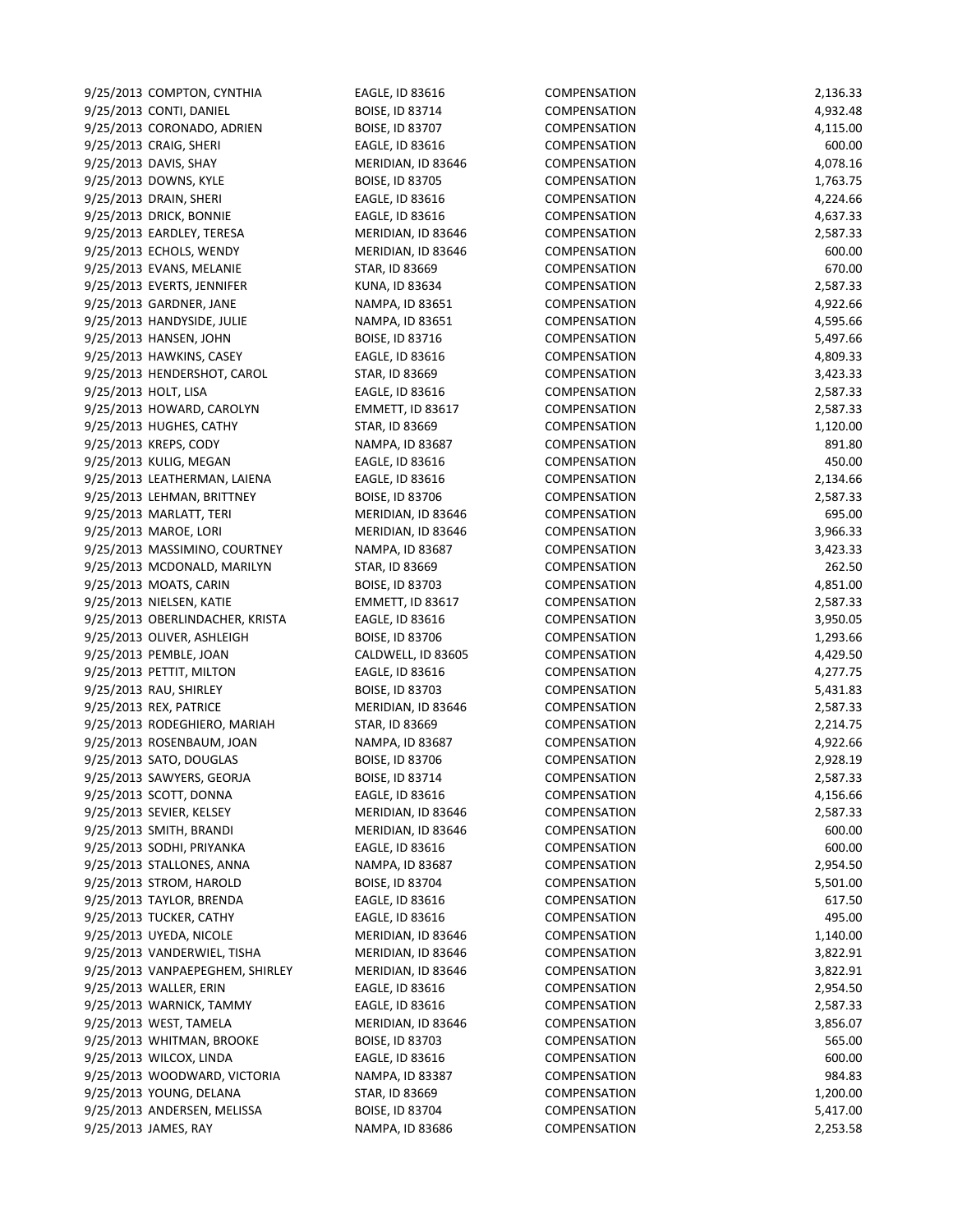9/25/2013 COMPTON, CYNTHIA EAGLE, ID 83616 COMPENSATION 2,136.33 9/25/2013 CONTI, DANIEL BOISE, ID 83714 COMPENSATION 4,932.48 9/25/2013 CORONADO, ADRIEN BOISE, ID 83707 COMPENSATION 4,115.00 9/25/2013 CRAIG, SHERI EAGLE, ID 83616 COMPENSATION 600.00 9/25/2013 DAVIS, SHAY **MERIDIAN, ID 83646** COMPENSATION 4,078.16 9/25/2013 DOWNS, KYLE **BOISE, ID 83705** COMPENSATION 1,763.75 9/25/2013 DRAIN, SHERI EAGLE, ID 83616 COMPENSATION 4,224.66 9/25/2013 DRICK, BONNIE EAGLE, ID 83616 COMPENSATION 4,637.33 9/25/2013 EARDLEY, TERESA MERIDIAN, ID 83646 COMPENSATION 2,587.33 9/25/2013 ECHOLS, WENDY MERIDIAN, ID 83646 COMPENSATION 600.00 9/25/2013 EVANS, MELANIE STAR, ID 83669 COMPENSATION 670.00 9/25/2013 EVERTS, JENNIFER KUNA, ID 83634 COMPENSATION 2,587.33 9/25/2013 GARDNER, JANE NAMPA, ID 83651 COMPENSATION 4,922.66 9/25/2013 HANDYSIDE, JULIE NAMPA, ID 83651 COMPENSATION 4,595.66 9/25/2013 HANSEN, JOHN BOISE, ID 83716 COMPENSATION 5,497.66 9/25/2013 HAWKINS, CASEY EAGLE, ID 83616 COMPENSATION 4,809.33 9/25/2013 HENDERSHOT, CAROL STAR, ID 83669 COMPENSATION 3,423.33 9/25/2013 HOLT, LISA EAGLE, ID 83616 COMPENSATION 2,587.33 9/25/2013 HOWARD, CAROLYN EMMETT, ID 83617 COMPENSATION 2,587.33 9/25/2013 HUGHES, CATHY STAR, ID 83669 COMPENSATION 1,120.00 9/25/2013 KREPS, CODY NAMPA, ID 83687 COMPENSATION 891.80 9/25/2013 KULIG, MEGAN EAGLE, ID 83616 COMPENSATION 450.00 9/25/2013 LEATHERMAN, LAIENA EAGLE, ID 83616 COMPENSATION 2,134.66 9/25/2013 LEHMAN, BRITTNEY BOISE, ID 83706 COMPENSATION 2,587.33 9/25/2013 MARLATT, TERI **MERIDIAN, ID 83646** COMPENSATION 695.00 9/25/2013 MAROE, LORI MERIDIAN, ID 83646 COMPENSATION 3,966.33 9/25/2013 MASSIMINO, COURTNEY NAMPA, ID 83687 COMPENSATION 3,423.33 9/25/2013 MCDONALD, MARILYN STAR, ID 83669 COMPENSATION 262.50 9/25/2013 MOATS, CARIN BOISE, ID 83703 COMPENSATION 4,851.00 9/25/2013 NIELSEN, KATIE EMMETT, ID 83617 COMPENSATION 2,587.33 9/25/2013 OBERLINDACHER, KRISTA EAGLE, ID 83616 COMPENSATION 3,950.05 9/25/2013 OLIVER, ASHLEIGH BOISE, ID 83706 COMPENSATION 1,293.66 9/25/2013 PEMBLE, JOAN CALDWELL, ID 83605 COMPENSATION 4,429.50 9/25/2013 PETTIT, MILTON EAGLE, ID 83616 COMPENSATION 4,277.75 9/25/2013 RAU, SHIRLEY BOISE, ID 83703 COMPENSATION 5,431.83 9/25/2013 REX, PATRICE **MERIDIAN, ID 83646** COMPENSATION 2,587.33 9/25/2013 RODEGHIERO, MARIAH STAR, ID 83669 COMPENSATION 2,214.75 9/25/2013 ROSENBAUM, JOAN NAMPA, ID 83687 COMPENSATION 4,922.66 9/25/2013 SATO, DOUGLAS BOISE, ID 83706 COMPENSATION 2,928.19 9/25/2013 SAWYERS, GEORJA BOISE, ID 83714 COMPENSATION 2,587.33 9/25/2013 SCOTT, DONNA EAGLE, ID 83616 COMPENSATION 4,156.66 9/25/2013 SEVIER, KELSEY MERIDIAN, ID 83646 COMPENSATION 2,587.33 9/25/2013 SMITH, BRANDI MERIDIAN, ID 83646 COMPENSATION 600.00 9/25/2013 SODHI, PRIYANKA EAGLE, ID 83616 COMPENSATION 600.00 9/25/2013 STALLONES, ANNA NAMPA, ID 83687 COMPENSATION 2,954.50 9/25/2013 STROM, HAROLD BOISE, ID 83704 COMPENSATION 5,501.00 9/25/2013 TAYLOR, BRENDA EAGLE, ID 83616 COMPENSATION 617.50 9/25/2013 TUCKER, CATHY EAGLE, ID 83616 COMPENSATION 495.00 9/25/2013 UYEDA, NICOLE MERIDIAN, ID 83646 COMPENSATION 1,140.00 9/25/2013 VANDERWIEL, TISHA MERIDIAN, ID 83646 COMPENSATION 3,822.91 9/25/2013 VANPAEPEGHEM, SHIRLEY MERIDIAN, ID 83646 COMPENSATION 3,822.91 9/25/2013 WALLER, ERIN EAGLE, ID 83616 COMPENSATION 2,954.50 9/25/2013 WARNICK, TAMMY EAGLE, ID 83616 COMPENSATION 2,587.33 9/25/2013 WEST, TAMELA **MERIDIAN, ID 83646** COMPENSATION 3,856.07 9/25/2013 WHITMAN, BROOKE BOISE, ID 83703 COMPENSATION 565.00 9/25/2013 WILCOX, LINDA EAGLE, ID 83616 COMPENSATION 600.00 9/25/2013 WOODWARD, VICTORIA NAMPA, ID 83387 COMPENSATION 684.83 9/25/2013 YOUNG, DELANA STAR, ID 83669 COMPENSATION 1,200.00 9/25/2013 ANDERSEN, MELISSA BOISE, ID 83704 COMPENSATION 5,417.00 9/25/2013 JAMES, RAY NAMPA, ID 83686 COMPENSATION 2,253.58

| <b>DMPENSATION</b>                |  |
|-----------------------------------|--|
| <b>DMPENSATION</b>                |  |
| <b>DMPENSATION</b>                |  |
| <b>DMPENSATION</b>                |  |
| <b>DMPENSATION</b>                |  |
| OMPENSATION                       |  |
|                                   |  |
| DMPENSATION                       |  |
| <b>DMPENSATION</b>                |  |
| <b>DMPENSATION</b>                |  |
| <b>DMPENSATION</b>                |  |
| <b>DMPENSATION</b>                |  |
| OMPENSATION                       |  |
| <b>DMPENSATION</b>                |  |
| OMPENSATION                       |  |
|                                   |  |
| DMPENSATION                       |  |
| <b>DMPENSATION</b>                |  |
| <b>DMPENSATION</b>                |  |
| <b>DMPENSATION</b>                |  |
| <b>DMPENSATION</b>                |  |
| OMPENSATION                       |  |
| <b>DMPENSATION</b>                |  |
| OMPENSATION                       |  |
| <b>DMPENSATION</b>                |  |
|                                   |  |
| <b>DMPENSATION</b>                |  |
| <b>DMPENSATION</b>                |  |
| <b>DMPENSATION</b>                |  |
| <b>DMPENSATION</b>                |  |
| <b>DMPENSATION</b>                |  |
| <b>DMPENSATION</b>                |  |
| <b>DMPENSATION</b>                |  |
| OMPENSATION                       |  |
|                                   |  |
| DMPENSATION                       |  |
| <b>DMPENSATION</b>                |  |
| <b>DMPENSATION</b>                |  |
| <b>DMPENSATION</b>                |  |
| <b>DMPENSATION</b>                |  |
| OMPENSATION                       |  |
| <b>DMPENSATION</b>                |  |
| OMPENSATION                       |  |
| OMPENSATION                       |  |
|                                   |  |
| OMPENSATION                       |  |
| <b>DMPENSATION</b>                |  |
| <b>DMPENSATION</b>                |  |
| <b>DMPENSATION</b>                |  |
| OMPENSATION                       |  |
| <b>DMPENSATION</b>                |  |
| OMPENSATION                       |  |
| <b>DMPENSATION</b>                |  |
| <b>DMPENSATION</b>                |  |
|                                   |  |
| <b>DMPENSATION</b>                |  |
| <b>DMPENSATION</b>                |  |
| <b>DMPENSATION</b>                |  |
| <b>DMPENSATION</b>                |  |
| OMPENSATION                       |  |
| <b>DMPENSATION</b>                |  |
|                                   |  |
|                                   |  |
| OMPENSATION                       |  |
| OMPENSATION                       |  |
| OMPENSATION                       |  |
| OMPENSATION<br><b>DMPENSATION</b> |  |